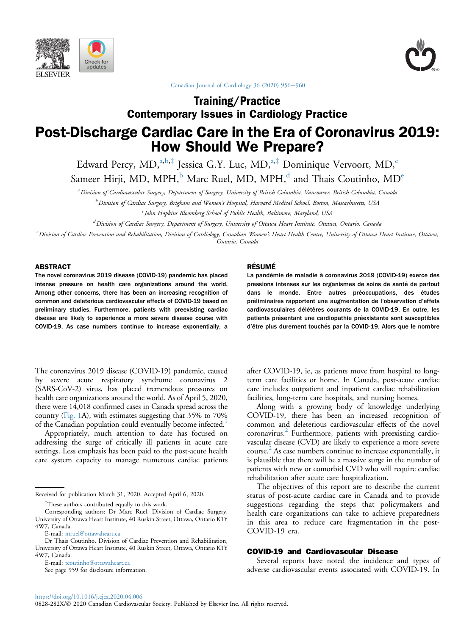





[Canadian Journal of Cardiology 36 \(2020\) 956](https://doi.org/10.1016/j.cjca.2020.04.006)-[960](https://doi.org/10.1016/j.cjca.2020.04.006)

# Contemporary Issues in Cardiology Practice Post-Discharge Cardiac Care in the Era of Coronavirus 2019: How Should We Prepare?

Edward Percy, MD,<sup>a,b, $\ddagger$ </sup> Jessica G.Y. Luc, MD,<sup>a, $\ddagger$ </sup> Dominique Vervoort, MD,<sup>c</sup>

Sameer Hirji, MD, MPH, $<sup>b</sup>$  Marc Ruel, MD, MPH, $<sup>d</sup>$  and Thais Coutinho, MD<sup>e</sup></sup></sup>

a Division of Cardiovascular Surgery, Department of Surgery, University of British Columbia, Vancouver, British Columbia, Canada

<sup>b</sup> Division of Cardiac Surgery, Brigham and Women's Hospital, Harvard Medical School, Boston, Massachusetts, USA

 $\epsilon$  John Hopkins Bloomberg School of Public Health, Baltimore, Maryland, USA

<sup>d</sup> Division of Cardiac Surgery, Department of Surgery, University of Ottawa Heart Institute, Ottawa, Ontario, Canada

e Division of Cardiac Prevention and Rehabilitation, Division of Cardiology, Canadian Women's Heart Health Centre, University of Ottawa Heart Institute, Ottawa, Ontario, Canada

#### ABSTRACT

The novel coronavirus 2019 disease (COVID-19) pandemic has placed intense pressure on health care organizations around the world. Among other concerns, there has been an increasing recognition of common and deleterious cardiovascular effects of COVID-19 based on preliminary studies. Furthermore, patients with preexisting cardiac disease are likely to experience a more severe disease course with COVID-19. As case numbers continue to increase exponentially, a

The coronavirus 2019 disease (COVID-19) pandemic, caused by severe acute respiratory syndrome coronavirus 2 (SARS-CoV-2) virus, has placed tremendous pressures on health care organizations around the world. As of April 5, 2020, there were 14,018 confirmed cases in Canada spread across the country [\(Fig. 1A](#page-2-0)), with estimates suggesting that 35% to 70% of the Canadian population could eventually become infected.<sup>[1](#page-3-0)</sup>

Appropriately, much attention to date has focused on addressing the surge of critically ill patients in acute care settings. Less emphasis has been paid to the post-acute health care system capacity to manage numerous cardiac patients

Received for publication March 31, 2020. Accepted April 6, 2020.

<sup>‡</sup>These authors contributed equally to this work.

E-mail: [tcoutinho@ottawaheart.ca](mailto:tcoutinho@ottawaheart.ca)

See page 959 for disclosure information.

#### RÉSUMÉ

La pandémie de maladie à coronavirus 2019 (COVID-19) exerce des pressions intenses sur les organismes de soins de santé de partout dans le monde. Entre autres préoccupations, des études préliminaires rapportent une augmentation de l'observation d'effets cardiovasculaires délétères courants de la COVID-19. En outre, les patients présentant une cardiopathie préexistante sont susceptibles d'être plus durement touchés par la COVID-19. Alors que le nombre

after COVID-19, ie, as patients move from hospital to longterm care facilities or home. In Canada, post-acute cardiac care includes outpatient and inpatient cardiac rehabilitation facilities, long-term care hospitals, and nursing homes.

Along with a growing body of knowledge underlying COVID-19, there has been an increased recognition of common and deleterious cardiovascular effects of the novel coronavirus.<sup>[2](#page-3-1)</sup> Furthermore, patients with preexisting cardiovascular disease (CVD) are likely to experience a more severe course.<sup>[2](#page-3-1)</sup> As case numbers continue to increase exponentially, it is plausible that there will be a massive surge in the number of patients with new or comorbid CVD who will require cardiac rehabilitation after acute care hospitalization.

The objectives of this report are to describe the current status of post-acute cardiac care in Canada and to provide suggestions regarding the steps that policymakers and health care organizations can take to achieve preparedness in this area to reduce care fragmentation in the post-COVID-19 era.

## COVID-19 and Cardiovascular Disease

Several reports have noted the incidence and types of adverse cardiovascular events associated with COVID-19. In

Corresponding authors: Dr Marc Ruel, Division of Cardiac Surgery, University of Ottawa Heart Institute, 40 Ruskin Street, Ottawa, Ontario K1Y 4W7, Canada.

E-mail: [mruel@ottawaheart.ca](mailto:mruel@ottawaheart.ca)

Dr Thais Coutinho, Division of Cardiac Prevention and Rehabilitation, University of Ottawa Heart Institute, 40 Ruskin Street, Ottawa, Ontario K1Y 4W7, Canada.

<sup>0828-282</sup>X/ $\odot$  2020 Canadian Cardiovascular Society. Published by Elsevier Inc. All rights reserved.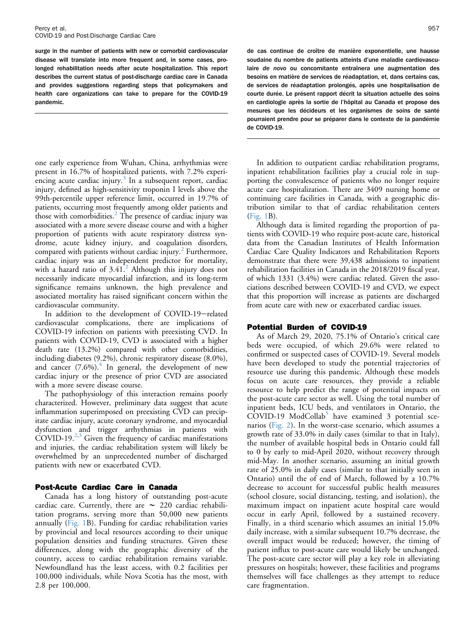surge in the number of patients with new or comorbid cardiovascular disease will translate into more frequent and, in some cases, prolonged rehabilitation needs after acute hospitalization. This report describes the current status of post-discharge cardiac care in Canada and provides suggestions regarding steps that policymakers and health care organizations can take to prepare for the COVID-19 pandemic.

one early experience from Wuhan, China, arrhythmias were present in 16.7% of hospitalized patients, with 7.2% experiencing acute cardiac injury. $3$  In a subsequent report, cardiac injury, defined as high-sensitivity troponin I levels above the 99th-percentile upper reference limit, occurred in 19.7% of patients, occurring most frequently among older patients and those with comorbidities.<sup>[2](#page-3-1)</sup> The presence of cardiac injury was associated with a more severe disease course and with a higher proportion of patients with acute respiratory distress syndrome, acute kidney injury, and coagulation disorders, compared with patients without cardiac injury.<sup>[2](#page-3-1)</sup> Furthermore, cardiac injury was an independent predictor for mortality, with a hazard ratio of  $3.41<sup>2</sup>$  $3.41<sup>2</sup>$  $3.41<sup>2</sup>$  Although this injury does not necessarily indicate myocardial infarction, and its long-term significance remains unknown, the high prevalence and associated mortality has raised significant concern within the cardiovascular community.

In addition to the development of COVID-19-related cardiovascular complications, there are implications of COVID-19 infection on patients with preexisting CVD. In patients with COVID-19, CVD is associated with a higher death rate (13.2%) compared with other comorbidities, including diabetes (9.2%), chronic respiratory disease (8.0%), and cancer  $(7.6\%)$ .<sup>[4](#page-3-3)</sup> In general, the development of new cardiac injury or the presence of prior CVD are associated with a more severe disease course.

The pathophysiology of this interaction remains poorly characterized. However, preliminary data suggest that acute inflammation superimposed on preexisting CVD can precipitate cardiac injury, acute coronary syndrome, and myocardial dysfunction and trigger arrhythmias in patients with  $COVID-19.<sup>2,3</sup>$  $COVID-19.<sup>2,3</sup>$  $COVID-19.<sup>2,3</sup>$  $COVID-19.<sup>2,3</sup>$  $COVID-19.<sup>2,3</sup>$  Given the frequency of cardiac manifestations and injuries, the cardiac rehabilitation system will likely be overwhelmed by an unprecedented number of discharged patients with new or exacerbated CVD.

## Post-Acute Cardiac Care in Canada

Canada has a long history of outstanding post-acute cardiac care. Currently, there are  $\sim$  220 cardiac rehabilitation programs, serving more than 50,000 new patients annually [\(Fig. 1B](#page-2-0)). Funding for cardiac rehabilitation varies by provincial and local resources according to their unique population densities and funding structures. Given these differences, along with the geographic diversity of the country, access to cardiac rehabilitation remains variable. Newfoundland has the least access, with 0.2 facilities per 100,000 individuals, while Nova Scotia has the most, with 2.8 per 100,000.

de cas continue de croître de manière exponentielle, une hausse soudaine du nombre de patients atteints d'une maladie cardiovasculaire de novo ou concomitante entraînera une augmentation des besoins en matière de services de réadaptation, et, dans certains cas, de services de réadaptation prolongés, après une hospitalisation de courte durée. Le présent rapport décrit la situation actuelle des soins en cardiologie après la sortie de l'hôpital au Canada et propose des mesures que les décideurs et les organismes de soins de santé pourraient prendre pour se préparer dans le contexte de la pandémie de COVID-19.

In addition to outpatient cardiac rehabilitation programs, inpatient rehabilitation facilities play a crucial role in supporting the convalescence of patients who no longer require acute care hospitalization. There are 3409 nursing home or continuing care facilities in Canada, with a geographic distribution similar to that of cardiac rehabilitation centers ([Fig. 1](#page-2-0)B).

Although data is limited regarding the proportion of patients with COVID-19 who require post-acute care, historical data from the Canadian Institutes of Health Information Cardiac Care Quality Indicators and Rehabilitation Reports demonstrate that there were 39,438 admissions to inpatient rehabilitation facilities in Canada in the 2018/2019 fiscal year, of which 1331 (3.4%) were cardiac related. Given the associations described between COVID-19 and CVD, we expect that this proportion will increase as patients are discharged from acute care with new or exacerbated cardiac issues.

# Potential Burden of COVID-19

As of March 29, 2020, 75.1% of Ontario's critical care beds were occupied, of which 29.6% were related to confirmed or suspected cases of COVID-19. Several models have been developed to study the potential trajectories of resource use during this pandemic. Although these models focus on acute care resources, they provide a reliable resource to help predict the range of potential impacts on the post-acute care sector as well. Using the total number of inpatient beds, ICU beds, and ventilators in Ontario, the  $COVID-19$  Mod $Collab<sup>5</sup>$  $Collab<sup>5</sup>$  $Collab<sup>5</sup>$  have examined 3 potential scenarios [\(Fig. 2\)](#page-3-4). In the worst-case scenario, which assumes a growth rate of 33.0% in daily cases (similar to that in Italy), the number of available hospital beds in Ontario could fall to 0 by early to mid-April 2020, without recovery through mid-May. In another scenario, assuming an initial growth rate of 25.0% in daily cases (similar to that initially seen in Ontario) until the of end of March, followed by a 10.7% decrease to account for successful public health measures (school closure, social distancing, testing, and isolation), the maximum impact on inpatient acute hospital care would occur in early April, followed by a sustained recovery. Finally, in a third scenario which assumes an initial 15.0% daily increase, with a similar subsequent 10.7% decrease, the overall impact would be reduced; however, the timing of patient influx to post-acute care would likely be unchanged. The post-acute care sector will play a key role in alleviating pressures on hospitals; however, these facilities and programs themselves will face challenges as they attempt to reduce care fragmentation.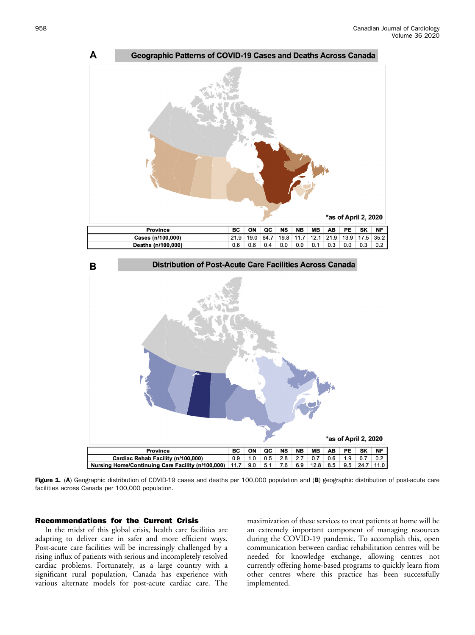<span id="page-2-0"></span>



Figure 1. (A) Geographic distribution of COVID-19 cases and deaths per 100,000 population and (B) geographic distribution of post-acute care facilities across Canada per 100,000 population.

# Recommendations for the Current Crisis

In the midst of this global crisis, health care facilities are adapting to deliver care in safer and more efficient ways. Post-acute care facilities will be increasingly challenged by a rising influx of patients with serious and incompletely resolved cardiac problems. Fortunately, as a large country with a significant rural population, Canada has experience with various alternate models for post-acute cardiac care. The

maximization of these services to treat patients at home will be an extremely important component of managing resources during the COVID-19 pandemic. To accomplish this, open communication between cardiac rehabilitation centres will be needed for knowledge exchange, allowing centres not currently offering home-based programs to quickly learn from other centres where this practice has been successfully implemented.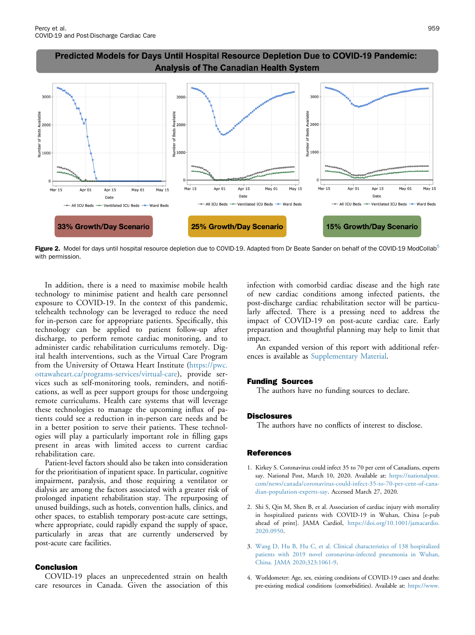

<span id="page-3-4"></span>Predicted Models for Days Until Hospital Resource Depletion Due to COVID-19 Pandemic: **Analysis of The Canadian Health System** 

Figure 2. Model for days until hospital resource depletion due to COVID-19. Adapted from Dr Beate Sander on behalf of the COVID-19 ModCollab<sup>[5](#page-4-0)</sup> with permission.

In addition, there is a need to maximise mobile health technology to minimise patient and health care personnel exposure to COVID-19. In the context of this pandemic, telehealth technology can be leveraged to reduce the need for in-person care for appropriate patients. Specifically, this technology can be applied to patient follow-up after discharge, to perform remote cardiac monitoring, and to administer cardic rehabilitation curriculums remotely. Digital health interventions, such as the Virtual Care Program from the University of Ottawa Heart Institute [\(https://pwc.](https://pwc.ottawaheart.ca/programs-services/virtual-care) [ottawaheart.ca/programs-services/virtual-care](https://pwc.ottawaheart.ca/programs-services/virtual-care)), provide services such as self-monitoring tools, reminders, and notifications, as well as peer support groups for those undergoing remote curriculums. Health care systems that will leverage these technologies to manage the upcoming influx of patients could see a reduction in in-person care needs and be in a better position to serve their patients. These technologies will play a particularly important role in filling gaps present in areas with limited access to current cardiac rehabilitation care.

Patient-level factors should also be taken into consideration for the prioritisation of inpatient space. In particular, cognitive impairment, paralysis, and those requiring a ventilator or dialysis are among the factors associated with a greater risk of prolonged inpatient rehabilitation stay. The repurposing of unused buildings, such as hotels, convention halls, clinics, and other spaces, to establish temporary post-acute care settings, where appropriate, could rapidly expand the supply of space, particularly in areas that are currently underserved by post-acute care facilities.

## Conclusion

COVID-19 places an unprecedented strain on health care resources in Canada. Given the association of this

infection with comorbid cardiac disease and the high rate of new cardiac conditions among infected patients, the post-discharge cardiac rehabilitation sector will be particularly affected. There is a pressing need to address the impact of COVID-19 on post-acute cardiac care. Early preparation and thoughtful planning may help to limit that impact.

An expanded version of this report with additional references is available as [Supplementary Material](#page-4-1).

### Funding Sources

The authors have no funding sources to declare.

### **Disclosures**

The authors have no conflicts of interest to disclose.

#### <span id="page-3-0"></span>**References**

- 1. Kirkey S. Coronavirus could infect 35 to 70 per cent of Canadians, experts say. National Post, March 10, 2020. Available at: [https://nationalpost.](https://nationalpost.com/news/canada/coronavirus-could-infect-35-to-70-per-cent-of-canadian-population-experts-say) [com/news/canada/coronavirus-could-infect-35-to-70-per-cent-of-cana](https://nationalpost.com/news/canada/coronavirus-could-infect-35-to-70-per-cent-of-canadian-population-experts-say)[dian-population-experts-say.](https://nationalpost.com/news/canada/coronavirus-could-infect-35-to-70-per-cent-of-canadian-population-experts-say) Accessed March 27, 2020.
- <span id="page-3-1"></span>2. Shi S, Qin M, Shen B, et al. Association of cardiac injury with mortality in hospitalized patients with COVID-19 in Wuhan, China [e-pub ahead of print]. JAMA Cardiol, [https://doi.org/10.1001/jamacardio.](https://doi.org/10.1001/jamacardio.2020.0950) [2020.0950](https://doi.org/10.1001/jamacardio.2020.0950).
- <span id="page-3-3"></span><span id="page-3-2"></span>3. [Wang D, Hu B, Hu C, et al. Clinical characteristics of 138 hospitalized](http://refhub.elsevier.com/S0828-282X(20)30388-3/sref3) [patients with 2019 novel coronavirus-infected pneumonia in Wuhan,](http://refhub.elsevier.com/S0828-282X(20)30388-3/sref3) [China. JAMA 2020;323:1061-9](http://refhub.elsevier.com/S0828-282X(20)30388-3/sref3).
- 4. Worldometer: Age, sex, existing conditions of COVID-19 cases and deaths: pre-existing medical conditions (comorbidities). Available at: [https://www.](https://www.worldometers.info/coronavirus/coronavirus-age-sex-demographics/)